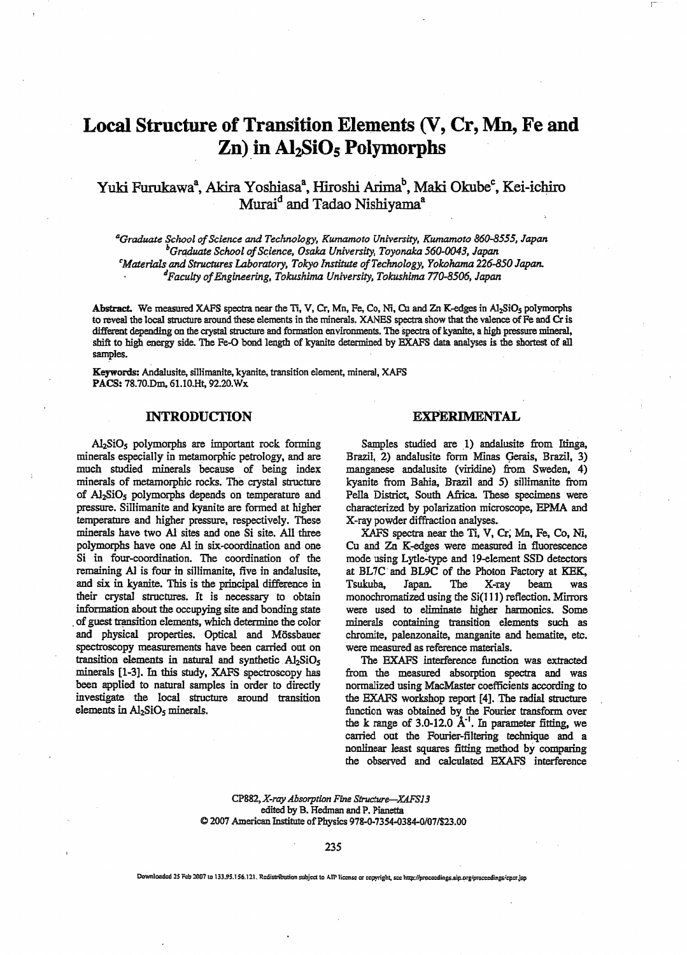# Local Structure of Transition Elements (V, Cr, Mn, Fe and  $Zn$ ) in Al<sub>2</sub>SiO<sub>5</sub> Polymorphs

## Yuki Furukawa<sup>a</sup>, Akira Yoshiasa<sup>a</sup>, Hiroshi Arima<sup>b</sup>, Maki Okube<sup>c</sup>, Kei-ichiro Murai<sup>d</sup> and Tadao Nishiyama<sup>a</sup>

<sup>a</sup>Graduate School of Science and Technology, Kumamoto University, Kumamoto 860-8555, Japan  $^b$ Graduate School of Science, Osaka University, Toyonaka 560-0043, Japan cMaterials and Structures Laboratory, Tokyo Institute of Technology, Yokohama 226-850 Japan. dFaculty ofEngineering, Tokushima University, Tokushima 770-8506, Japan

Abstract. We measured XAFS spectra near the Ti, V, Cr, Mn, Fe, Co, Ni, Cu and Zn K-edges in Al<sub>2</sub>SiO<sub>5</sub> polymorphs to reveal the local structure around these elements in the minerals. XANES spectra show that the valence of Fe and Cr is different depending on the crystal structure and formation environments. The spectra of kyanite, a high pressure mineral, shift to high energy side. The Fe-O bond length of kyanite determined by EXAFS data analyses is the shortest of all samples.

Keywords: Andalusite, sillimanite, kyanite, transition element, mineral, XAFS PACS: 78.70.Dm, 61.10.Ht, 92.20.Wx

#### INTRODUCTION

 $\text{Al}_2\text{SiO}_5$  polymorphs are important rock forming minerals especially in metamorphie petrology, and are much studied minerals because of being index minerals of metamorphie rocks. The crystal structure of Al<sub>2</sub>SiO<sub>5</sub> polymorphs depends on temperature and pressure. Sillimanite and kyanite are formed at higher temperature and higher pressure, respectively. These minerals have two Al sites and one Si site. All three polymorphs have one Al in six-coordination and one Si in four-coordination. The coordination of the remaining Al is four in sillimanite, five in andalusite, and six in kyanite. This is the principal difference in their crystal structures. It is necessary to obtain information about the occupying site and bonding state of guest transition elements, which determine the color and physical properties. Optical and Mössbauer spectroscopy measurements have been carried out on transition elements in natural and synthetic  $A1_2SiO_5$ minerals [1-3]. In this study, XAFS spectroscopy has been applied to natural samples in order to directly investigate the local structure around transition elements in  $Al<sub>2</sub>SiO<sub>5</sub> minerals.$ 

#### EXPERIMENTAL

Samples studied are 1) andalusite from Itinga, Brazil, 2) andalusite form Minas Gerais, Brazil, 3) manganese andalusite (viridine) from Sweden, 4) kyanite from Bahia, Brazil and 5) sillimanite from Pella District, South Africa. These specimens were characterized by polarization microscope, EPMA and X-ray powder diffraction analyses.

XAFS spectra near the Ti, V, Cr; Mn, Fe, Co, Ni, Cu and Zn K-edges were measured in fluorescence mode using Lytle-type and 19-element SSD detectors at BL7C and BL9C of the Photon Factory at KEK, Tsukuba, Japan. The X-ray beam was monochromatized using the Si(111) reflection. Mirrors were used to eliminate higher harmonics. Some minerals containing transition elements such as chromite, palenzonaite, manganite and hematite, etc. were measured as reference materials.

The EXAFS interference function was extracted from the measured absorption spectra and was normalized using MacMaster coefficients according to the EXAFS workshop report [4]. The radial structure function was obtained by the Fourier transform over the k range of  $3.0$ -12.0  $\AA$ <sup>-1</sup>. In parameter fitting, we carried out the Fourier-filtering technique and nonlinear least squares fitting method by comparing the observed and calculated EXAFS interference

CPB82,X-ray Absorption Fine Structure—XAFS13 edited by B. Hedman and P. Pianetta 2007 American Institute of Physics 978-0-7354-0384-0/07/\$23.00

235

Downloaded 25 Feb 2007 to 133.95.156.121. Redistribution subject to ATP license or copyright, see http://proceedings.aip.org/proceedings/cpcr.jsp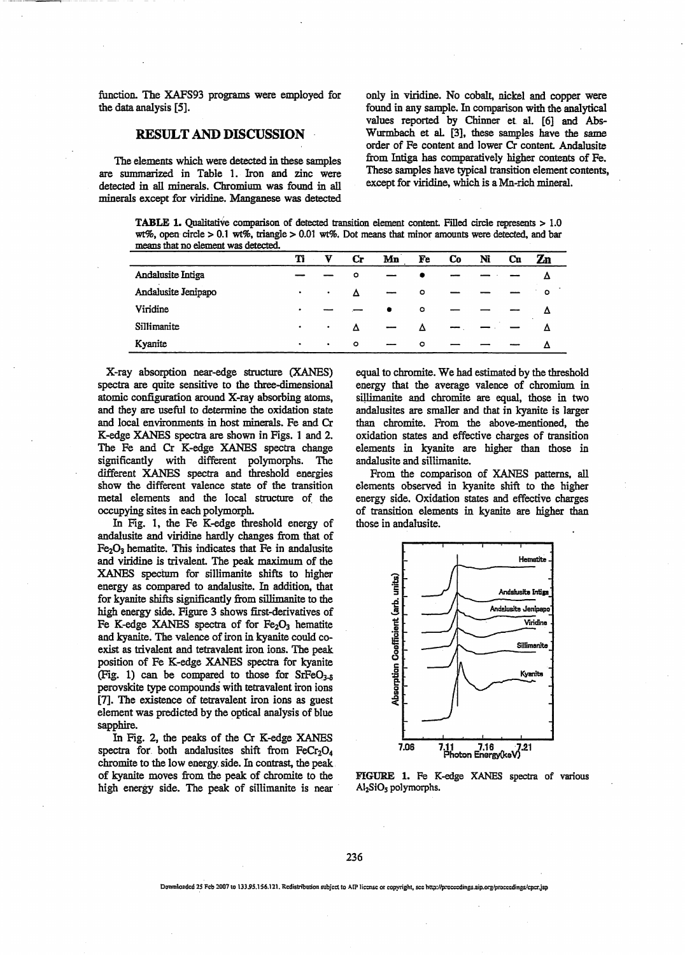function. The XAFS93 programs were employed for the data analysis [5].

#### RESULT AND DISCUSSION

The elements which were detected in these samples are summarized in Table 1. Iron and zinc were detected in ail minerals. Chromium was found in all minerals except for viridine. Manganese was detected

only in viridine. No cobalt, nickel and copper were found in any sample. In comparison with the analytical values reported by Chinner et al. [6] and Abs-Wurmbach et aL [3], these samples have the same order of Fe content and lower Or content Andalusite from Intiga has comparatively higher contents of Fe. These samples have typical transition element contents, except for viridine, which is a Mn-rich mineral.

TABLE 1. Qualitative comparison of detected transition element content. Filled circle represents > 1.0 wt%, open circle > 0.1 wt%, triangle > 0.01 wt%. Dot means that minor amounts were detected, and bar means that no element was detected.

|                     | Ti        | v         | Cr      | Mn | Fe      | Cо | Ni | Сu | $\mathbf{Z}$ n |
|---------------------|-----------|-----------|---------|----|---------|----|----|----|----------------|
| Andalusite Intiga   |           |           | $\circ$ |    |         |    |    |    |                |
| Andalusite Jenipapo | $\bullet$ | ٠         | Λ       |    | $\circ$ |    |    |    | $\circ$        |
| Viridine            |           |           |         | ٠  | $\circ$ |    |    |    | Λ              |
| Sillimanite         | ٠         | ٠         | Δ       |    | Λ       |    |    |    |                |
| Kyanite             | ٠         | $\bullet$ | $\circ$ |    | $\circ$ |    |    |    | Λ              |

X-ray absorption near-edge structure (XANES) spectra are quite sensitive to the three-dimensional atomic configuration around X-ray absorbing atoms, and they are useful to determine the oxidation state and local environments in host minerals. Fe and Cr K-edge XANES spectra are shown in Figs. 1 and 2. The Fe and Cr K-edge XANES spectra change significantly with different polymorphs. The different XANES spectra and threshold energies show the different valence state of the transition metal elements and the local structure of the occupying sites in each polymorph.

In Fig. 1, the Fe K-edge threshold energy of andalusite and viridine hardly changes from that of  $Fe<sub>2</sub>O<sub>3</sub>$  hematite. This indicates that Fe in andalusite and viridine is trivalent The peak maximum of the XANES spectum for sillimanite shifts to higher energy as compared to andalusite. In addition, that for kyanite shifts significantly from sillimanite to the high energy side. Figure 3 shows first-derivatives of Fe K-edge XANES spectra of for  $Fe<sub>2</sub>O<sub>3</sub>$  hematite and kyanite. The valence of iron in kyanite could co exist as trivalent and tetravalent iron ions. The peak position of Fe K-edge XANES spectra for kyanite (Fig. 1) can be compared to those for  $SrFeO<sub>3-5</sub>$ perovskite type compounds with tetravalent iron ions [7]. The existence of tetravalent iron ions as guest element was predicted by the optical analysis of blue sapphire.

In Fig. 2, the peaks of the Cr K-edge XANES spectra for both andalusites shift from  $FeCr<sub>2</sub>O<sub>4</sub>$ chromite to the low energy, side. In contrast, the peak of kyanite moves from the peak of chromite to the high energy side. The peak of sillimanite is near equal to chromite. We had estimated by the threshold energy that the average valence of chromium in sillimanite and chromite are equal, those in two andalusites are smaller and that in kyanite is larger than chromite. From the above-mentioned, the oxidation states and effective charges of transition elements in kyanite are higher than those in andalusite and sillimanite.

From the comparison of XANES patterns, all elements observed in kyanite shift to the higher energy side. Oxidation states and effective charges of transition elements in kyanite are higher than those in andalusite.



FIGURE 1. Fe K-edge XANES spectra of various Al<sub>2</sub>SiO<sub>5</sub> polymorphs.

236